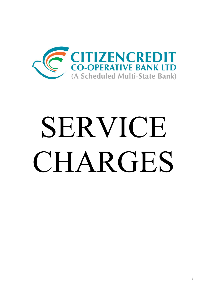

# SERVICE CHARGES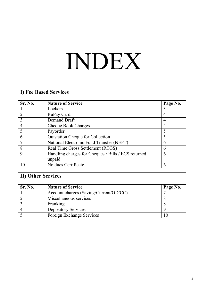# INDEX

|                | <b>I) Fee Based Services</b>                        |                |  |
|----------------|-----------------------------------------------------|----------------|--|
| Sr. No.        | <b>Nature of Service</b>                            | Page No.       |  |
|                | Lockers                                             | 3              |  |
| $\overline{2}$ | RuPay Card                                          | $\overline{4}$ |  |
| 3              | Demand Draft                                        | 4              |  |
| $\overline{4}$ | <b>Cheque Book Charges</b>                          | $\overline{4}$ |  |
| 5              | Payorder                                            | 5              |  |
| 6              | <b>Outstation Cheque for Collection</b>             | 5              |  |
|                | National Electronic Fund Transfer (NEFT)            | 6              |  |
| 8              | Real Time Gross Settlement (RTGS)                   | 6              |  |
| 9              | Handling charges for Cheques / Bills / ECS returned | 6              |  |
|                | unpaid                                              |                |  |
| 10             | No dues Certificate                                 | 6              |  |

| <b>II) Other Services</b> |
|---------------------------|
|---------------------------|

| <b>Sr. No.</b> | <b>Nature of Service</b>               | Page No. |
|----------------|----------------------------------------|----------|
|                | Account charges (Saving/Current/OD/CC) |          |
|                | Miscellaneous services                 |          |
|                | Franking                               |          |
|                | <b>Depository Services</b>             |          |
|                | Foreign Exchange Services              |          |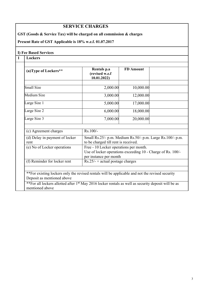# **SERVICE CHARGES**

**GST (Goods & Service Tax) will be charged on all commission & charges**

### **Present Rate of GST Applicable is 18% w.e.f. 01.07.2017**

#### **I) Fee Based Services**

# **1 Lockers**

| (a)Type of Lockers**                   | Rentals p.a<br>(revised w.e.f<br>10.01.2022                                                                                     | <b>FD</b> Amount |  |
|----------------------------------------|---------------------------------------------------------------------------------------------------------------------------------|------------------|--|
| Small Size                             | 2,000.00                                                                                                                        | 10,000.00        |  |
| Medium Size                            | 3,000.00                                                                                                                        | 12,000.00        |  |
| Large Size 1                           | 5,000.00                                                                                                                        | 17,000.00        |  |
| Large Size 2                           | 6,000.00                                                                                                                        | 18,000.00        |  |
| Large Size 3                           | 7,000.00                                                                                                                        | 20,000.00        |  |
| (c) Agreement charges                  | Rs.100/-                                                                                                                        |                  |  |
| (d) Delay in payment of locker<br>rent | Small Rs.25/- p.m. Medium Rs.50/- p.m. Large Rs.100/- p.m.<br>to be charged till rent is received.                              |                  |  |
| (e) No of Locker operations            | Free - 10 Locker operations per month.<br>Use of locker operations exceeding 10 - Charge of Rs. 100/-<br>per instance per month |                  |  |
| (f) Reminder for locker rent           | $Rs.25/- + actual postage charges$                                                                                              |                  |  |

\*\*For existing lockers only the revised rentals will be applicable and not the revised security Deposit as mentioned above

\*\*For all lockers allotted after 1<sup>st</sup> May 2016 locker rentals as well as security deposit will be as mentioned above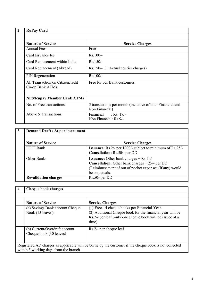| <b>RuPay Card</b>                                   |                                                                             |
|-----------------------------------------------------|-----------------------------------------------------------------------------|
| <b>Nature of Service</b>                            | <b>Service Charges</b>                                                      |
| <b>Annual Fees</b>                                  | Free                                                                        |
| Card Issuance fee                                   | $Rs.100/-$                                                                  |
| Card Replacement within India                       | $Rs.150/-$                                                                  |
| Card Replacement (Abroad)                           | Rs.150/- .(+ Actual courier charges)                                        |
| PIN Regeneration                                    | Rs.100/-                                                                    |
| All Transaction on Citizencredit<br>Co-op Bank ATMs | Free for our Bank customers                                                 |
| <b>NFS/Rupay Member Bank ATMs</b>                   |                                                                             |
| No. of Free transactions                            | 5 transactions per month (inclusive of both Financial and<br>Non Financial) |
| Above 5 Transactions                                | Financial : Rs. 17/-<br>Non Financial: Rs.9/-                               |

| $\mathbf{3}$ | Demand Draft / At par instrument |                                                                                                                                                                                        |  |
|--------------|----------------------------------|----------------------------------------------------------------------------------------------------------------------------------------------------------------------------------------|--|
|              | <b>Nature of Service</b>         | <b>Service Charges</b>                                                                                                                                                                 |  |
|              | <b>ICICI Bank</b>                | <b>Issuance:</b> Rs.2/- per 1000/- subject to minimum of $\overline{Rs.25/-}$<br>Cancellation: Rs.50/- per DD                                                                          |  |
|              | Other Banks                      | <b>Issuance:</b> Other bank charges $+$ Rs.50/-<br><b>Cancellation:</b> Other bank charges $+25/-$ per DD<br>(Reimbursement of out of pocket expenses (if any) would<br>be on actuals. |  |
|              | <b>Revalidation charges</b>      | $Rs.50$ /-per DD                                                                                                                                                                       |  |

| <b>Cheque book charges</b>                                                      |                                                                                                                                                                                                            |  |
|---------------------------------------------------------------------------------|------------------------------------------------------------------------------------------------------------------------------------------------------------------------------------------------------------|--|
|                                                                                 |                                                                                                                                                                                                            |  |
| <b>Nature of Service</b><br>(a) Savings Bank account Cheque<br>Book (15 leaves) | <b>Service Charges</b><br>(1) Free - 4 cheque books per Financial Year.<br>(2) Additional Cheque book for the financial year will be<br>Rs.2/- per leaf (only one cheque book will be issued at a<br>time) |  |
| (b) Current/Overdraft account<br>Cheque book (30 leaves)                        | $Rs.2/-$ per cheque leaf                                                                                                                                                                                   |  |
| within 5 working days from the branch.                                          | Registered AD charges as applicable will be borne by the customer if the cheque book is not collected                                                                                                      |  |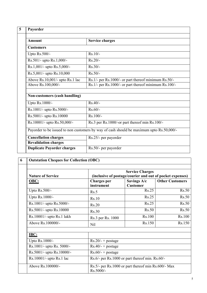| Payorder                                                                                 |                                                       |
|------------------------------------------------------------------------------------------|-------------------------------------------------------|
| <b>Amount</b>                                                                            | <b>Service charges</b>                                |
| <b>Customers</b>                                                                         |                                                       |
| Upto Rs.500/-                                                                            | $Rs.10/-$                                             |
| Rs.501/- upto Rs.1,000/-                                                                 | $Rs.20/-$                                             |
| Rs.1,001/- upto Rs.5,000/-                                                               | $Rs.30/-$                                             |
| Rs.5,001/- upto Rs.10,000                                                                | $Rs.50/-$                                             |
| Above Rs.10,001/- upto Rs.1 lac                                                          | Rs.1/- per Rs.1000/- or part thereof minimum Rs.50/-  |
| Above Rs.100,000/-                                                                       | Rs.1/- per Rs.1000/- or part thereof minimum Rs.100/- |
| <b>Non-customers (cash handling)</b><br>Upto Rs.1000/-                                   | $Rs.40/-$                                             |
| Rs.1001/- upto Rs.5000/-                                                                 | $Rs.60/-$                                             |
| Rs.5001/- upto Rs.10000                                                                  | $Rs.100/-$                                            |
| Rs.10001/- upto Rs.50,000/-                                                              | Rs.3 per Rs.1000/-or part thereof min Rs.100/-        |
| Payorder to be issued to non customers by way of cash should be maximum upto Rs.50,000/- |                                                       |
| <b>Cancellation charges</b>                                                              | Rs.25/- per payorder                                  |
| <b>Revalidation charges</b>                                                              |                                                       |
| <b>Duplicate Payorder charges</b>                                                        | Rs.50/- per payorder                                  |

| <b>Nature of Service</b>     | <b>Service Charges</b><br>(inclusive of postage/courier and out of pocket expenses) |                                                 |                        |
|------------------------------|-------------------------------------------------------------------------------------|-------------------------------------------------|------------------------|
| OBC:                         | <b>Charges</b> per<br>instrument                                                    | Savings A/c<br><b>Customer</b>                  | <b>Other Customers</b> |
| Upto Rs.500/-                | Rs.5                                                                                | Rs.25                                           | Rs.50                  |
| Upto Rs.1000/-               | Rs.10                                                                               | Rs.25                                           | Rs.50                  |
| Rs.1001/- upto Rs.5000/-     | Rs.20                                                                               | Rs.25                                           | Rs.50                  |
| Rs.5001/- upto Rs.10000      | Rs.30                                                                               | Rs.50                                           | Rs.50                  |
| Rs.10001/- upto Rs.1 lakh    | Rs.3 per Rs. 1000                                                                   | Rs.100                                          | Rs.100                 |
| Above Rs.100000/-            | Nil                                                                                 | Rs.150                                          | Rs.150                 |
| IBC:                         |                                                                                     |                                                 |                        |
| Upto Rs.1000/-               | $Rs.20/- + postage$                                                                 |                                                 |                        |
| Rs.1001/- upto Rs. 5000/-    | $Rs.40/- + postage$                                                                 |                                                 |                        |
| Rs.5001/- upto Rs.10000/-    | $Rs.60/- + postage$                                                                 |                                                 |                        |
| $Rs.10001/-$ upto $Rs.1$ lac |                                                                                     | Rs.6/- per Rs.1000 or part thereof min. Rs.60/- |                        |
| Above Rs.100000/-            | Rs.5/- per Rs.1000 or part thereof min Rs.600/- Max<br>Rs.5000/-                    |                                                 |                        |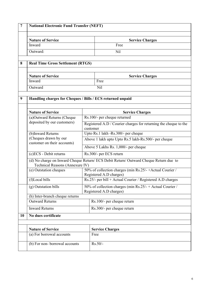| $\overline{7}$ | <b>National Electronic Fund Transfer (NEFT)</b>      |                                                                                                                          |  |  |  |  |
|----------------|------------------------------------------------------|--------------------------------------------------------------------------------------------------------------------------|--|--|--|--|
|                | <b>Nature of Service</b>                             | <b>Service Charges</b>                                                                                                   |  |  |  |  |
|                | Inward                                               | Free                                                                                                                     |  |  |  |  |
|                | Outward:                                             | Nil                                                                                                                      |  |  |  |  |
|                |                                                      | <b>Real Time Gross Settlement (RTGS)</b>                                                                                 |  |  |  |  |
|                | <b>Nature of Service</b>                             | <b>Service Charges</b>                                                                                                   |  |  |  |  |
|                | Inward                                               | Free                                                                                                                     |  |  |  |  |
|                | Outward                                              | Nil                                                                                                                      |  |  |  |  |
|                |                                                      | Handling charges for Cheques / Bills / ECS returned unpaid                                                               |  |  |  |  |
|                | <b>Nature of Service</b>                             | <b>Service Charges</b>                                                                                                   |  |  |  |  |
|                | (a)Outward Returns (Cheque                           | Rs.100/- per cheque returned                                                                                             |  |  |  |  |
|                | deposited by our customers)                          | Registered A.D / Courier charges for returning the cheque to the<br>customer                                             |  |  |  |  |
|                | (b) Inward Returns                                   | Upto Rs.1 lakh -Rs.300/- per cheque                                                                                      |  |  |  |  |
|                | (Cheques drawn by our<br>customer on their accounts) | Above 1 lakh upto Upto Rs.5 lakh-Rs.500/- per cheque                                                                     |  |  |  |  |
|                |                                                      | Above 5 Lakhs Rs. 1,000/- per cheque                                                                                     |  |  |  |  |
|                | (c)ECS - Debit returns                               | Rs.300/- per ECS return                                                                                                  |  |  |  |  |
|                |                                                      | (d) No charge on Inward Cheque Return/ ECS Debit Return/ Outward Cheque Return due to<br>Technical Reasons (Annexure IV) |  |  |  |  |
|                | (e) Outstation cheques                               | 50% of collection charges (min Rs.25/-+Actual Courier /<br>Registered A.D charges)                                       |  |  |  |  |
|                | (f)Local bills                                       | Rs.25/- per bill + Actual Courier / Registered A.D charges                                                               |  |  |  |  |
|                | (g) Outstation bills                                 | 50% of collection charges (min Rs.25/- + Actual Courier /<br>Registered A.D charges)                                     |  |  |  |  |
|                | (h) Inter-branch cheque returns                      |                                                                                                                          |  |  |  |  |
|                | <b>Outward Returns</b>                               | Rs.100/- per cheque return                                                                                               |  |  |  |  |
|                | <b>Inward Returns</b>                                | Rs.300/- per cheque return                                                                                               |  |  |  |  |
| 10             | No dues certificate                                  |                                                                                                                          |  |  |  |  |
|                | <b>Nature of Service</b>                             | <b>Service Charges</b>                                                                                                   |  |  |  |  |
|                | (a) For borrowal accounts                            | Free                                                                                                                     |  |  |  |  |
|                | (b) For non-borrowal accounts                        | $Rs.50/-$                                                                                                                |  |  |  |  |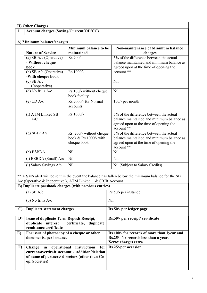**II) Other Charges**

# **1 Account charges (Saving/Current/OD/CC)**

| <b>Nature of Service</b>                             | Minimum balance to be<br>maintained                                | <b>Non-maintenance of Minimum balance</b><br>charges                                                                                         |
|------------------------------------------------------|--------------------------------------------------------------------|----------------------------------------------------------------------------------------------------------------------------------------------|
| (a) SB $A/c$ (Operative)<br>- Without cheque<br>book | $Rs.200/-$                                                         | 5% of the difference between the actual<br>balance maintained and minimum balance as<br>agreed upon at the time of opening the               |
| (b) SB $A/c$ (Operative)<br>-With cheque book        | Rs.1000/-                                                          | account **                                                                                                                                   |
| $(c)$ SB A/ $c$<br>(Inoperative)                     |                                                                    | Nil                                                                                                                                          |
| (d) No frills $A/c$                                  | Rs.100/- without cheque<br>book facility                           | <b>Nil</b>                                                                                                                                   |
| $(e)$ CD A/c                                         | Rs.2000/- for Normal<br>accounts                                   | 100/- per month                                                                                                                              |
| (f) ATM Linked SB<br>A/C                             | Rs.1000/-                                                          | 5% of the difference between the actual<br>balance maintained and minimum balance as<br>agreed upon at the time of opening the<br>account ** |
| $(g)$ SBJR A/c                                       | Rs. 200/- without cheque<br>book $&$ Rs 1000/- with<br>cheque book | 5% of the difference between the actual<br>balance maintained and minimum balance as<br>agreed upon at the time of opening the<br>account ** |
| (h) BSBDA                                            | Nil                                                                | Nil                                                                                                                                          |
| $(i)$ BSBDA (Small) $A/c$                            | Nil                                                                | Nil                                                                                                                                          |
| $(i)$ Salary Savings A/c                             | Nil                                                                | Nil (Subject to Salary Credits)                                                                                                              |

\*\* A SMS alert will be sent in the event the balance has fallen below the minimum balance for the SB A/c (Operative & Inoperative ), ATM Linked & SBJR Account

| B) Duplicate passbook charges (with previous entries) |                                                                                                                                                             |                                                                                                             |
|-------------------------------------------------------|-------------------------------------------------------------------------------------------------------------------------------------------------------------|-------------------------------------------------------------------------------------------------------------|
|                                                       | (a) SB $A/c$                                                                                                                                                | Rs.50/- per instance                                                                                        |
|                                                       | (b) No frills $A/c$                                                                                                                                         | Nil                                                                                                         |
| $\mathbf{C}$                                          | Duplicate statement charges                                                                                                                                 | Rs.50/- per ledger page                                                                                     |
| D)                                                    | <b>Issue of duplicate Term Deposit Receipt,</b><br>duplicate interest<br>certificate, duplicate<br>remittance certificate                                   | Rs.50/- per receipt/ certificate                                                                            |
| E)                                                    | For issue of photocopy of a cheque or other<br>documents, per instance                                                                                      | Rs.100/- for records of more than 1year and<br>Rs.25/- for records less than a year.<br>Xerox charges extra |
| $\bf{F}$                                              | Change in operational instructions for<br>current/overdraft account - addition/deletion<br>of name of partners/ directors (other than Co-<br>op. Societies) | Rs.25/-per occasion                                                                                         |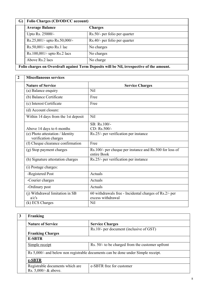| $\mathbf{G}$ | Folio Charges (CD/OD/CC account) |                                                                                           |
|--------------|----------------------------------|-------------------------------------------------------------------------------------------|
|              | <b>Average Balance</b>           | Charges                                                                                   |
|              | Upto Rs. 25000/-                 | Rs.50/- per folio per quarter                                                             |
|              | Rs.25,001/- upto Rs.50,000/-     | Rs.40/- per folio per quarter                                                             |
|              | $Rs.50,001/-$ upto $Rs.1$ lac    | No charges                                                                                |
|              | Rs.100,001/- upto Rs.2 lacs      | No charges                                                                                |
|              | Above Rs.2 lacs                  | No charge                                                                                 |
|              |                                  | Folio charges on Overdraft against Term Deposits will be Nil, irrespective of the amount. |

| <b>Miscellaneous services</b>                            |                                                                             |  |  |
|----------------------------------------------------------|-----------------------------------------------------------------------------|--|--|
| <b>Nature of Service</b>                                 | <b>Service Charges</b>                                                      |  |  |
| (a) Balance enquiry                                      | Nil                                                                         |  |  |
| (b) Balance Certificate                                  | Free                                                                        |  |  |
| (c) Interest Certificate                                 | Free                                                                        |  |  |
| (d) Account closure:                                     |                                                                             |  |  |
| Within 14 days from the 1st deposit                      | Nil                                                                         |  |  |
|                                                          | SB: Rs.100/-                                                                |  |  |
| Above 14 days to 6 months                                | CD: Rs.500/-                                                                |  |  |
| (e) Photo attestation / Identity<br>verification charges | Rs.25/- per verification per instance                                       |  |  |
| (f) Cheque clearance confirmation                        | Free                                                                        |  |  |
| (g) Stop payment charges                                 | Rs.100/- per cheque per instance and Rs.500 for loss of<br>entire Book      |  |  |
| (h) Signature attestation charges                        | Rs.25/- per verification per instance                                       |  |  |
| (i) Postage charges:                                     |                                                                             |  |  |
| -Registered Post                                         | Actuals                                                                     |  |  |
| -Courier charges                                         | Actuals                                                                     |  |  |
| -Ordinary post                                           | Actuals                                                                     |  |  |
| (j) Withdrawal limitation in SB<br>a/c's                 | 60 withdrawals free - Incidental charges of Rs.2/- per<br>excess withdrawal |  |  |
| (k) ECS Charges                                          | <b>Nil</b>                                                                  |  |  |

| Franking                        |                                                                                  |  |
|---------------------------------|----------------------------------------------------------------------------------|--|
| <b>Nature of Service</b>        | <b>Service Charges</b>                                                           |  |
|                                 | Rs.10/- per document (inclusive of GST)                                          |  |
| <b>Franking Charges</b>         |                                                                                  |  |
| <b>E-SBTR</b>                   |                                                                                  |  |
| Simple receipt                  | Rs. 50/- to be charged from the customer upfront                                 |  |
|                                 | Rs 5,000/- and below non registrable documents can be done under Simple receipt. |  |
| e-SBTR                          |                                                                                  |  |
| Registrable documents which are | e-SBTR free for customer                                                         |  |
| Rs. 5,000/- & above.            |                                                                                  |  |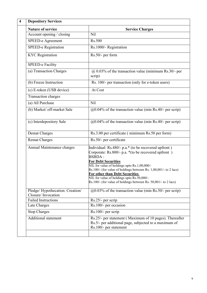| <b>Depository Services</b>                            |                                                                                                                                                                                                                                                                                                                                                                                                                                                        |  |
|-------------------------------------------------------|--------------------------------------------------------------------------------------------------------------------------------------------------------------------------------------------------------------------------------------------------------------------------------------------------------------------------------------------------------------------------------------------------------------------------------------------------------|--|
| <b>Nature of service</b>                              | <b>Service Charges</b>                                                                                                                                                                                                                                                                                                                                                                                                                                 |  |
| Account opening / closing                             | <b>Nil</b>                                                                                                                                                                                                                                                                                                                                                                                                                                             |  |
| SPEED-e Agreement                                     | Rs.500                                                                                                                                                                                                                                                                                                                                                                                                                                                 |  |
| <b>SPEED-e Registration</b>                           | Rs.1000/- Registration                                                                                                                                                                                                                                                                                                                                                                                                                                 |  |
| <b>KYC</b> Registration                               | Rs.50/- per form                                                                                                                                                                                                                                                                                                                                                                                                                                       |  |
| <b>SPEED-e Facility</b>                               |                                                                                                                                                                                                                                                                                                                                                                                                                                                        |  |
| (a) Transaction Charges                               | $@$ 0.03% of the transaction value (minimum Rs.30/- per<br>scrip)                                                                                                                                                                                                                                                                                                                                                                                      |  |
| (b) Freeze Instruction                                | Rs. 100/- per transaction (only for e-token users)                                                                                                                                                                                                                                                                                                                                                                                                     |  |
| (c) E-token (USB device)                              | At Cost                                                                                                                                                                                                                                                                                                                                                                                                                                                |  |
| Transaction charges                                   |                                                                                                                                                                                                                                                                                                                                                                                                                                                        |  |
| (a) All Purchase                                      | Nil                                                                                                                                                                                                                                                                                                                                                                                                                                                    |  |
| (b) Market/ off-market Sale                           | $@0.04\%$ of the transaction value (min Rs.40/- per scrip)                                                                                                                                                                                                                                                                                                                                                                                             |  |
| (c) Interdepository Sale                              | $@0.04\%$ of the transaction value (min Rs.40/- per scrip)                                                                                                                                                                                                                                                                                                                                                                                             |  |
| Demat Charges                                         | Rs.3.00 per certificate (minimum Rs.50 per form)                                                                                                                                                                                                                                                                                                                                                                                                       |  |
| <b>Remat Charges</b>                                  | Rs.50/- per certificate                                                                                                                                                                                                                                                                                                                                                                                                                                |  |
| Annual Maintenance charges                            | Individual: Rs.480/- p.a.* (to be recovered upfront)<br>Corporate: Rs.800/- p.a. * (to be recovered upfront)<br><b>BSBDA:</b><br><b>For Debt Securities</b><br>NIL for value of holdings upto Rs.1,00,000/-<br>Rs.100/- (for value of holdings between Rs. $1,00,001/$ - to 2 lacs)<br>For other than Debt Securities<br>NIL for value of holdings upto $\overline{Rs.50,000/}$ -<br>$Rs.100/-$ (for value of holdings between Rs. 50,001/- to 2 lacs) |  |
| Pledge/Hypothecation: Creation/<br>Closure/Invocation | $@0.03\%$ of the transaction value (min Rs.50/- per scrip)                                                                                                                                                                                                                                                                                                                                                                                             |  |
| <b>Failed Instructions</b>                            | Rs.25/- per scrip                                                                                                                                                                                                                                                                                                                                                                                                                                      |  |
| Late Charges                                          | Rs.100/- per occasion                                                                                                                                                                                                                                                                                                                                                                                                                                  |  |
| <b>Stop Charges</b>                                   | Rs.100/- per scrip                                                                                                                                                                                                                                                                                                                                                                                                                                     |  |
| <b>Additional statement</b>                           | Rs.25/- per statement (Maximum of 10 pages). Thereafter<br>Rs.5/- per additional page, subjected to a maximum of<br>Rs.100/- per statement                                                                                                                                                                                                                                                                                                             |  |
|                                                       |                                                                                                                                                                                                                                                                                                                                                                                                                                                        |  |